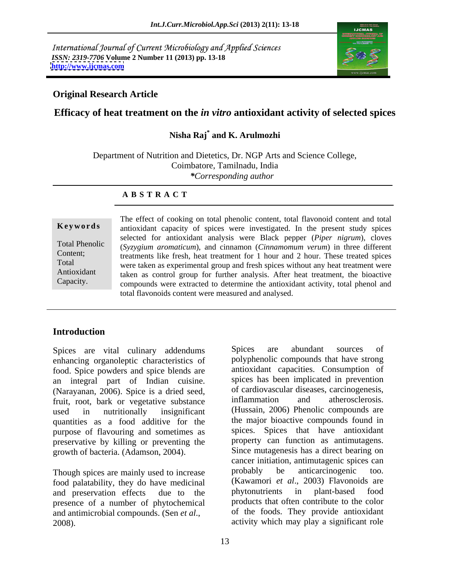International Journal of Current Microbiology and Applied Sciences *ISSN: 2319-7706* **Volume 2 Number 11 (2013) pp. 13-18 <http://www.ijcmas.com>**



### **Original Research Article**

### **Efficacy of heat treatment on the** *in vitro* **antioxidant activity of selected spices**

### **Nisha Raj\* and K. Arulmozhi**

Department of Nutrition and Dietetics, Dr. NGP Arts and Science College, Coimbatore, Tamilnadu, India *\*Corresponding author*

### **A B S T R A C T**

**Keywords** antioxidant capacity of spices were investigated. In the present study spices Total Phenolic (*Syzygium aromaticum*), and cinnamon (*Cinnamomum verum*) in three different Content; treatments like fresh, heat treatment for 1 hour and 2 hour. These treated spices Total were taken as experimental group and fresh spices without any heat treatment were Antioxidant taken as control group for further analysis. After heat treatment, the bioactive Capacity. compounds were extracted to determine the antioxidant activity, total phenol and The effect of cooking on total phenolic content, total flavonoid content and total selected for antioxidant analysis were Black pepper (*Piper nigrum*), cloves total flavonoids content were measured and analysed.

### **Introduction**

Spices are vital culinary addendums Spices are abundant sources of enhancing organoleptic characteristics of food. Spice powders and spice blends are an integral part of Indian cuisine. (Narayanan, 2006). Spice is a dried seed, of cardiovascular diseases, carcinogenesis,<br>
fruit root bark or vegetative substance inflammation and atherosclerosis. fruit, root, bark or vegetative substance quantities as a food additive for the purpose of flavouring and sometimes as preservative by killing or preventing the growth of bacteria. (Adamson, 2004).

food palatability, they do have medicinal (Kawamori *et al.*, 2003) Flavonoids are<br>and preservation effects due to the phytonutrients in plant-based food presence of a number of phytochemical and antimicrobial compounds. (Sen *et al.*, exercit of the foods. They provide antioxidant activity which may play a significant role

used in nutritionally insignificant (Hussain, 2006) Phenolic compounds are Though spices are mainly used to increase probably be anticarcinogenic too. and preservation effects due to the phytonutrients in plant-based food Spices are abundant sources of polyphenolic compounds that have strong antioxidant capacities. Consumption of spices has been implicated in prevention of cardiovascular diseases, carcinogenesis, inflammation and atherosclerosis. the major bioactive compounds found in spices. Spices that have antioxidant property can function as antimutagens. Since mutagenesis has a direct bearing on cancer initiation, antimutagenic spices can probably be anticarcinogenic too. (Kawamori *et al*., 2003) Flavonoids are phytonutrients in plant-based food products that often contribute to the color of the foods. They provide antioxidant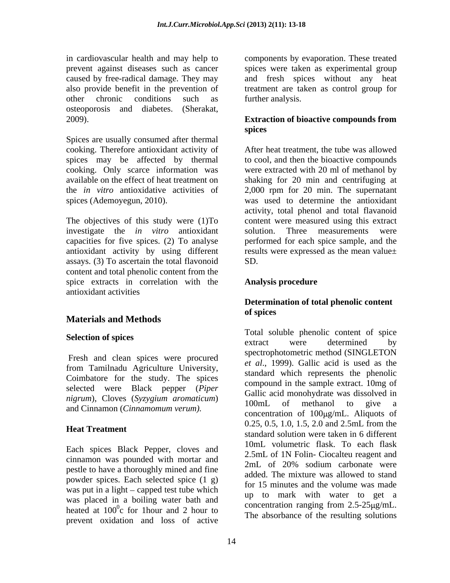in cardiovascular health and may help to components by evaporation. These treated prevent against diseases such as cancer spices were taken as experimental group caused by free-radical damage. They may also provide benefit in the prevention of treatment are taken as control group for other chronic conditions such as further analysis. osteoporosis and diabetes. (Sherakat, 2009). **Extraction of bioactive compounds from** 

Spices are usually consumed after thermal cooking. Therefore antioxidant activity of

investigate the *in vitro* antioxidant capacities for five spices. (2) To analyse assays. (3) To ascertain the total flavonoid content and total phenolic content from the spice extracts in correlation with the **Analysis procedure** antioxidant activities

## **Materials and Methods**

Fresh and clean spices were procured from Tamilnadu Agriculture University, Coimbatore for the study. The spices selected were Black pepper (*Piper nigrum*), Cloves (*Syzygium aromaticum*) and Cinnamon (*Cinnamomum verum).*

Each spices Black Pepper, cloves and cinnamon was pounded with mortar and<br>2mL of 20% sodium carbonate were pestle to have a thoroughly mined and fine powder spices. Each selected spice (1 g) was put in a light  $-$  capped test tube which was placed in a boiling water bath and heated at  $100^{\circ}$ c for 1 hour and 2 hour to prevent oxidation and loss of active

and fresh spices without any heat further analysis.

# **spices**

spices may be affected by thermal to cool, and then the bioactive compounds cooking. Only scarce information was were extracted with 20 ml of methanol by available on the effect of heat treatment on shaking for 20 min and centrifuging at the *in vitro* antioxidative activities of 2,000 rpm for 20 min. The supernatant spices (Ademoyegun, 2010). was used to determine the antioxidant The objectives of this study were (1)To content were measured using this extract antioxidant activity by using different results were expressed as the mean value $\pm$ After heat treatment, the tube was allowed activity, total phenol and total flavanoid solution. Three measurements were performed for each spice sample, and the SD.

### **Analysis procedure**

### **Determination of total phenolic content of spices**

**Selection of spices** and to the solution of spice spice service is the service of spice services of the service of  $\frac{1}{2}$  and  $\frac{1}{2}$  are serviced of  $\frac{1}{2}$  and  $\frac{1}{2}$  are serviced of  $\frac{1}{2}$  and  $\frac{1}{2}$  ar **Heat Treatment** because the standard solution were taken in 6 different  $^{0}$  concentration ranging from 2.5-25  $\mu$ g/mL. c for 1 hour and 2 hour to<br>tion and loss of equivalent of the resulting solutions Total soluble phenolic content of spice extract were determined by spectrophotometric method (SINGLETON *et al*., 1999). Gallic acid is used as the standard which represents the phenolic compound in the sample extract. 10mg of Gallic acid monohydrate was dissolved in 100mL of methanol to give a concentration of  $100\mu\text{g/mL}$ . Aliquots of 0.25, 0.5, 1.0, 1.5, 2.0 and 2.5mL from the 10mL volumetric flask. To each flask 2.5mL of 1N Folin- Ciocalteu reagent and 2mL of 20% sodium carbonate were added. The mixture was allowed to stand for 15 minutes and the volume was made up to mark with water to get a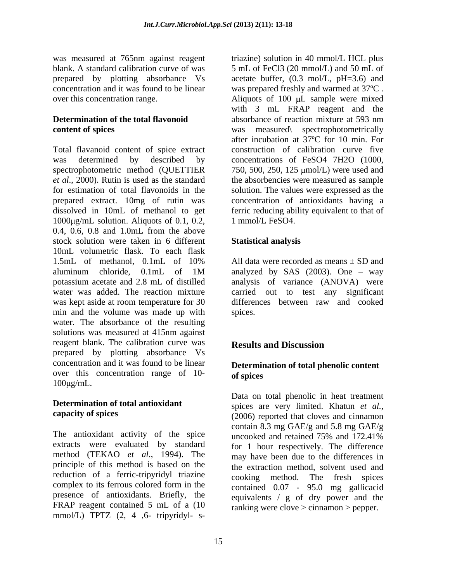Total flavanoid content of spice extract was determined by described by concentrations of FeSO4 7H2O (1000, spectrophotometric method (QUETTIER 750, 500, 250, 125 µmol/L) were used and *et al*., 2000). Rutin is used as the standard the absorbencies were measured as sample for estimation of total flavonoids in the solution. The values were expressed as the prepared extract. 10mg of rutin was concentration of antioxidants having a dissolved in 10mL of methanol to get ferric reducing ability equivalent to that of  $1000 \mu$ g/mL solution. Aliquots of 0.1, 0.2, 0.4, 0.6, 0.8 and 1.0mL from the above stock solution were taken in 6 different 10mL volumetric flask. To each flask 1.5mL of methanol, 0.1mL of 10% All data were recorded as means ± SD and aluminum chloride, 0.1mL of 1M potassium acetate and 2.8 mL of distilled water was added. The reaction mixture carried out to test any significant was kept aside at room temperature for 30 differences between raw and cooked min and the volume was made up with spices. water. The absorbance of the resulting solutions was measured at 415nm against reagent blank. The calibration curve was **Results and Discussion** prepared by plotting absorbance Vs concentration and it was found to be linear over this concentration range of 10- of spices  $100\mu\text{g/mL}$ .

The antioxidant activity of the spice uncooked and retained 75% and 172.41% extracts were evaluated by standard method (TEKAO *et al*., 1994). The principle of this method is based on the reduction of a ferric-tripyridyl triazine complex to its ferrous colored form in the  $\qquad$  contained 0.07 - 95.0 mg gallicacid presence of antioxidants. Briefly, the equivalents / g of dry power and the FRAP reagent contained 5 mL of a (10 mmol/L) TPTZ (2, 4 ,6- tripyridyl- s-

was measured at 765nm against reagent triazine) solution in 40 mmol/L HCL plus blank. A standard calibration curve of was 5 mL of FeCl3 (20 mmol/L) and 50 mL of prepared by plotting absorbance Vs acetate buffer, (0.3 mol/L, pH=3.6) and concentration and it was found to be linear was prepared freshly and warmed at 37ºC . over this concentration range. Aliquots of 100 µL sample were mixed **Determination of the total flavonoid** absorbance of reaction mixture at 593 nm **content of spices** was measured spectrophotometrically with 3 mL FRAP reagent and the absorbance of reaction mixture at 593 nm after incubation at 37ºC for 10 min. For construction of calibration curve five 1 mmol/L FeSO4.

### **Statistical analysis**

analyzed by SAS  $(2003)$ . One – way analysis of variance (ANOVA) were spices.

### **Results and Discussion**

### **Determination of total phenolic content of spices**

**Determination of total antioxidant** spices are very limited. Khatun *et al.*, **capacity of spices** (2006) reported that cloves and cinnamon Data on total phenolic in heat treatment contain 8.3 mg GAE/g and 5.8 mg GAE/g uncooked and retained 75% and 172.41% for 1 hour respectively. The difference may have been due to the differences in the extraction method, solvent used and cooking method. The fresh spices contained 0.07 - 95.0 mg gallicacid ranking were clove > cinnamon > pepper.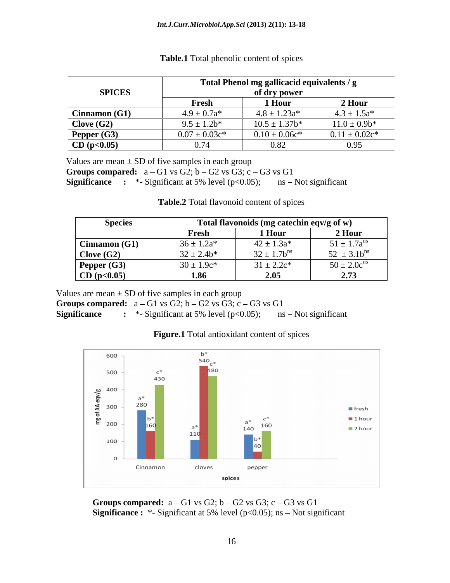|                     | Total Phenol mg gallicacid equivalents / g<br>of dry power |                    |                    |
|---------------------|------------------------------------------------------------|--------------------|--------------------|
| <b>SPICES</b>       |                                                            |                    |                    |
|                     | Fresh                                                      | 1 Hour             | 2 Hour             |
| Cinnamon(G1)        | $4.9 \pm 0.7a*$                                            | $4.8 \pm 1.23a*$   | $4.3 \pm 1.5a*$    |
| $\vert$ Clove (G2)  | $9.5 \pm 1.2b^*$                                           | $10.5 \pm 1.37$ b* | $11.0 \pm 0.9b^*$  |
| Pepper (G3)         | $0.07 \pm 0.03c^*$                                         | $0.10 \pm 0.06c^*$ | $0.11 \pm 0.02c^*$ |
| $\vert$ CD (p<0.05) | 0.74                                                       | 0.82               | 0.95               |

### **Table.1** Total phenolic content of spices

Values are mean  $\pm$  SD of five samples in each group

**Groups compared:**  $a - G1$  vs  $G2$ ;  $b - G2$  vs  $G3$ ;  $c - G3$  vs  $G1$ **Significance** : \*- Significant at 5% level  $(p<0.05)$ ; ns – Not significant

**Table.2** Total flavonoid content of spices

| <b>Species</b> | Total flavonoids (mg catechin eqv/g of w) |                 |                    |
|----------------|-------------------------------------------|-----------------|--------------------|
|                | Fresh                                     | 1 Hour          | 2 Hour             |
| Cinnamon(G1)   | $36 \pm 1.2a*$                            | $42 \pm 1.3a^*$ | $51 \pm 1.7a^{ns}$ |
| Clove $(G2)$   | $32 \pm 2.4b*$                            | $32 \pm 1.7$    | $3.1b^{ns}$        |
| Pepper (G3)    | $30 \pm 1.9c^*$                           | $31 \pm 2.2c^*$ | $50 \pm 2.0c^{ns}$ |
| CD (p<0.05)    | 1.86                                      | 2.05            | 2.73               |

Values are mean  $\pm$  SD of five samples in each group

**Groups compared:**  $a - G1$  vs  $G2$ ;  $b - G2$  vs  $G3$ ;  $c - G3$  vs  $G1$ 

**Significance** : \*- Significant at 5% level  $(p<0.05)$ ; ns – Not significant



### **Figure.1** Total antioxidant content of spices

**Groups compared:**  $a - G1$  vs  $G2$ ;  $b - G2$  vs  $G3$ ;  $c - G3$  vs  $G1$ **Significance :** \*- Significant at 5% level ( $p<0.05$ ); ns – Not significant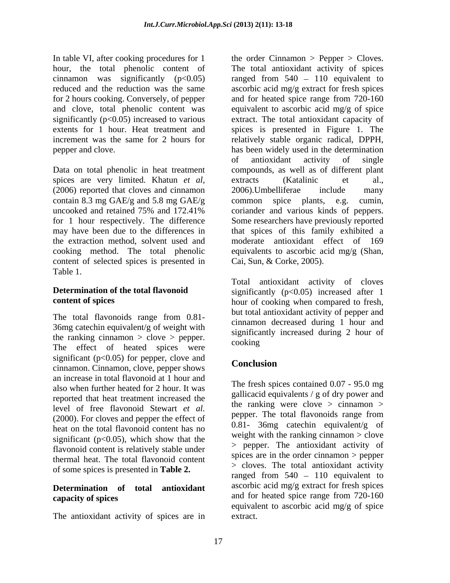hour, the total phenolic content of for 2 hours cooking. Conversely, of pepper and for heated spice range from 720-160 and clove, total phenolic content was

spices are very limited. Khatun *et al*, extracts (Katalinic et al., (2006) reported that cloves and cinnamon contain 8.3 mg GAE/g and 5.8 mg GAE/g common spice plants, e.g. cumin, content of selected spices is presented in Table 1.

The total flavonoids range from 0.81- 36mg catechin equivalent/g of weight with the ranking cinnamon  $>$  clove  $>$  pepper. cooking The effect of heated spices were significant  $(p<0.05)$  for pepper, clove and<br>Conclusion cinnamon. Cinnamon, clove, pepper shows an increase in total flavonoid at 1 hour and also when further heated for 2 hour. It was reported that heat treatment increased the level of free flavonoid Stewart *et al.* The total flavonoids range from (2000). For cloves and pepper the effect of heat on the total flavonoid content has no significant ( $p<0.05$ ), which show that the flavonoid content is relatively stable under thermal heat. The total flavonoid content of some spices is presented in **Table 2.**

The antioxidant activity of spices are in

In table VI, after cooking procedures for 1 the order Cinnamon > Pepper > Cloves. cinnamon was significantly  $(p<0.05)$  ranged from  $540 - 110$  equivalent to reduced and the reduction was the same ascorbic acid mg/g extract for fresh spices significantly (p<0.05) increased to various extract. The total antioxidant capacity of extents for 1 hour. Heat treatment and spices is presented in Figure 1. The increment was the same for 2 hours for relatively stable organic radical, DPPH, pepper and clove. has been widely used in the determination Data on total phenolic in heat treatment compounds, as well as of different plant uncooked and retained 75% and 172.41% for 1 hour respectively. The difference Some researchers have previously reported may have been due to the differences in that spices of this family exhibited a the extraction method, solvent used and moderate antioxidant effect of 169 cooking method. The total phenolic equivalents to ascorbic acid mg/g (Shan, The total antioxidant activity of spices and for heated spice range from 720-160 equivalent to ascorbic acid mg/g of spice of antioxidant activity of single extracts (Katalinic et al., 2006).Umbelliferae include many  $common$  spice plants, e.g. coriander and various kinds of peppers. Cai, Sun, & Corke, 2005).

**Determination of the total flavonoid** significantly (p<0.05) increased after 1 **content of spices** hour of cooking when compared to fresh, Total antioxidant activity of cloves but total antioxidant activity of pepper and cinnamon decreased during 1 hour and significantly increased during 2 hour of cooking and the contract of the contract of the contract of the contract of the contract of the contract of the contract of the contract of the contract of the contract of the contract of the contract of the contract of th

### **Conclusion**

**Determination** of **total antioxidant** ascorbic acid mg/g extract for fresh spices **capacity of spices** and for heated spice range from 720-160 The fresh spices contained 0.07 - 95.0 mg gallicacid equivalents / g of dry power and the ranking were clove  $>$  cinnamon  $>$ pepper. The total flavonoids range from 0.81- 36mg catechin equivalent/g of weight with the ranking cinnamon  $>$  clove > pepper. The antioxidant activity of spices are in the order cinnamon > pepper > cloves. The total antioxidant activity ranged from  $540 - 110$  equivalent to equivalent to ascorbic acid mg/g of spice extract.